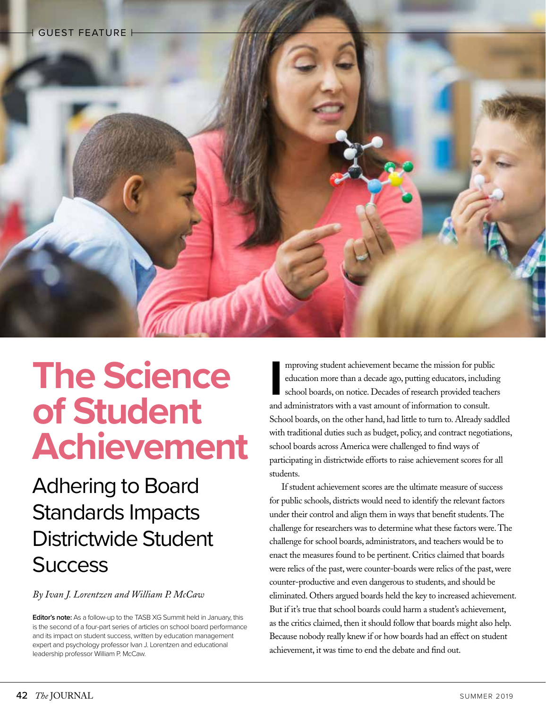

# **The Science of Student Achievement**

Adhering to Board Standards Impacts Districtwide Student **Success** 

*By Ivan J. Lorentzen and William P. McCaw*

**Editor's note:** As a follow-up to the TASB XG Summit held in January, this is the second of a four-part series of articles on school board performance and its impact on student success, written by education management expert and psychology professor Ivan J. Lorentzen and educational leadership professor William P. McCaw.

mproving student achievement became the mission for public education more than a decade ago, putting educators, includioschool boards, on notice. Decades of research provided teach and administrators with a vast amount of mproving student achievement became the mission for public education more than a decade ago, putting educators, including school boards, on notice. Decades of research provided teachers School boards, on the other hand, had little to turn to. Already saddled with traditional duties such as budget, policy, and contract negotiations, school boards across America were challenged to find ways of participating in districtwide efforts to raise achievement scores for all students.

If student achievement scores are the ultimate measure of success for public schools, districts would need to identify the relevant factors under their control and align them in ways that benefit students. The challenge for researchers was to determine what these factors were. The challenge for school boards, administrators, and teachers would be to enact the measures found to be pertinent. Critics claimed that boards were relics of the past, were counter-boards were relics of the past, were counter-productive and even dangerous to students, and should be eliminated. Others argued boards held the key to increased achievement. But if it's true that school boards could harm a student's achievement, as the critics claimed, then it should follow that boards might also help. Because nobody really knew if or how boards had an effect on student achievement, it was time to end the debate and find out.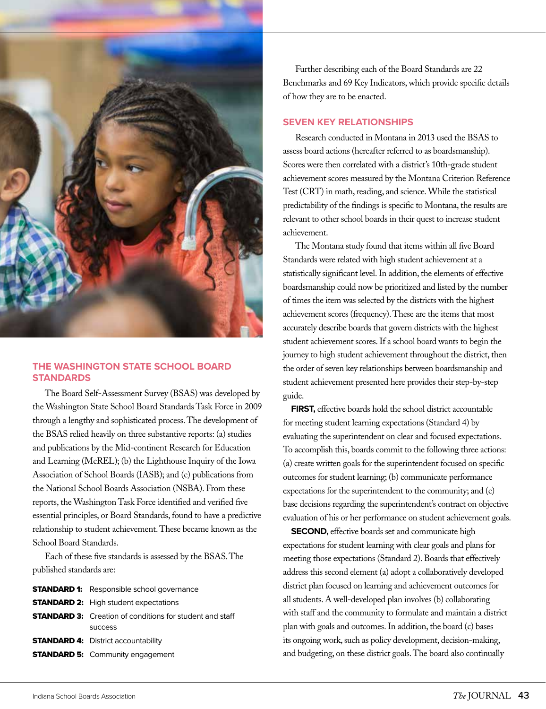

### **THE WASHINGTON STATE SCHOOL BOARD STANDARDS**

The Board Self-Assessment Survey (BSAS) was developed by the Washington State School Board Standards Task Force in 2009 through a lengthy and sophisticated process. The development of the BSAS relied heavily on three substantive reports: (a) studies and publications by the Mid-continent Research for Education and Learning (McREL); (b) the Lighthouse Inquiry of the Iowa Association of School Boards (IASB); and (c) publications from the National School Boards Association (NSBA). From these reports, the Washington Task Force identified and verified five essential principles, or Board Standards, found to have a predictive relationship to student achievement. These became known as the School Board Standards.

Each of these five standards is assessed by the BSAS. The published standards are:

| <b>STANDARD 1:</b> Responsible school governance                |
|-----------------------------------------------------------------|
| <b>STANDARD 2:</b> High student expectations                    |
| <b>STANDARD 3:</b> Creation of conditions for student and staff |
| <b>SUCCESS</b>                                                  |
| <b>STANDARD 4: District accountability</b>                      |
| <b>STANDARD 5: Community engagement</b>                         |

Further describing each of the Board Standards are 22 Benchmarks and 69 Key Indicators, which provide specific details of how they are to be enacted.

### **SEVEN KEY RELATIONSHIPS**

Research conducted in Montana in 2013 used the BSAS to assess board actions (hereafter referred to as boardsmanship). Scores were then correlated with a district's 10th-grade student achievement scores measured by the Montana Criterion Reference Test (CRT) in math, reading, and science. While the statistical predictability of the findings is specific to Montana, the results are relevant to other school boards in their quest to increase student achievement.

The Montana study found that items within all five Board Standards were related with high student achievement at a statistically significant level. In addition, the elements of effective boardsmanship could now be prioritized and listed by the number of times the item was selected by the districts with the highest achievement scores (frequency). These are the items that most accurately describe boards that govern districts with the highest student achievement scores. If a school board wants to begin the journey to high student achievement throughout the district, then the order of seven key relationships between boardsmanship and student achievement presented here provides their step-by-step guide.

FIRST, effective boards hold the school district accountable for meeting student learning expectations (Standard 4) by evaluating the superintendent on clear and focused expectations. To accomplish this, boards commit to the following three actions: (a) create written goals for the superintendent focused on specific outcomes for student learning; (b) communicate performance expectations for the superintendent to the community; and (c) base decisions regarding the superintendent's contract on objective evaluation of his or her performance on student achievement goals.

**SECOND,** effective boards set and communicate high expectations for student learning with clear goals and plans for meeting those expectations (Standard 2). Boards that effectively address this second element (a) adopt a collaboratively developed district plan focused on learning and achievement outcomes for all students. A well-developed plan involves (b) collaborating with staff and the community to formulate and maintain a district plan with goals and outcomes. In addition, the board (c) bases its ongoing work, such as policy development, decision-making, and budgeting, on these district goals. The board also continually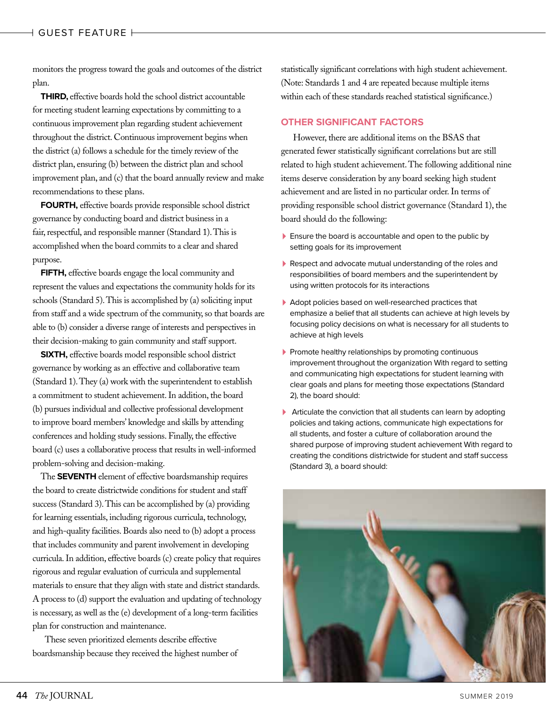monitors the progress toward the goals and outcomes of the district plan.

**THIRD,** effective boards hold the school district accountable for meeting student learning expectations by committing to a continuous improvement plan regarding student achievement throughout the district. Continuous improvement begins when the district (a) follows a schedule for the timely review of the district plan, ensuring (b) between the district plan and school improvement plan, and (c) that the board annually review and make recommendations to these plans.

**FOURTH,** effective boards provide responsible school district governance by conducting board and district business in a fair, respectful, and responsible manner (Standard 1). This is accomplished when the board commits to a clear and shared purpose.

**FIFTH,** effective boards engage the local community and represent the values and expectations the community holds for its schools (Standard 5). This is accomplished by (a) soliciting input from staff and a wide spectrum of the community, so that boards are able to (b) consider a diverse range of interests and perspectives in their decision-making to gain community and staff support.

**SIXTH,** effective boards model responsible school district governance by working as an effective and collaborative team (Standard 1). They (a) work with the superintendent to establish a commitment to student achievement. In addition, the board (b) pursues individual and collective professional development to improve board members' knowledge and skills by attending conferences and holding study sessions. Finally, the effective board (c) uses a collaborative process that results in well-informed problem-solving and decision-making.

The **SEVENTH** element of effective boardsmanship requires the board to create districtwide conditions for student and staff success (Standard 3). This can be accomplished by (a) providing for learning essentials, including rigorous curricula, technology, and high-quality facilities. Boards also need to (b) adopt a process that includes community and parent involvement in developing curricula. In addition, effective boards (c) create policy that requires rigorous and regular evaluation of curricula and supplemental materials to ensure that they align with state and district standards. A process to (d) support the evaluation and updating of technology is necessary, as well as the (e) development of a long-term facilities plan for construction and maintenance.

These seven prioritized elements describe effective boardsmanship because they received the highest number of statistically significant correlations with high student achievement. (Note: Standards 1 and 4 are repeated because multiple items within each of these standards reached statistical significance.)

### **OTHER SIGNIFICANT FACTORS**

However, there are additional items on the BSAS that generated fewer statistically significant correlations but are still related to high student achievement. The following additional nine items deserve consideration by any board seeking high student achievement and are listed in no particular order. In terms of providing responsible school district governance (Standard 1), the board should do the following:

- **Ensure the board is accountable and open to the public by** setting goals for its improvement
- Respect and advocate mutual understanding of the roles and responsibilities of board members and the superintendent by using written protocols for its interactions
- Adopt policies based on well-researched practices that emphasize a belief that all students can achieve at high levels by focusing policy decisions on what is necessary for all students to achieve at high levels
- Promote healthy relationships by promoting continuous improvement throughout the organization With regard to setting and communicating high expectations for student learning with clear goals and plans for meeting those expectations (Standard 2), the board should:
- Articulate the conviction that all students can learn by adopting policies and taking actions, communicate high expectations for all students, and foster a culture of collaboration around the shared purpose of improving student achievement With regard to creating the conditions districtwide for student and staff success (Standard 3), a board should:

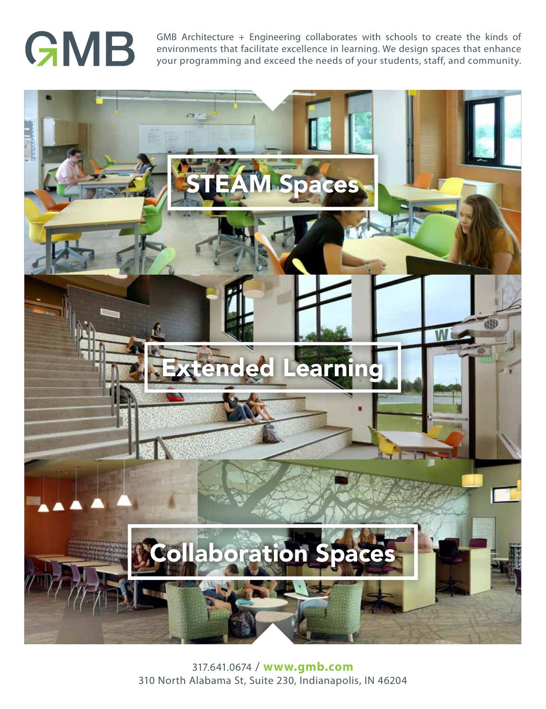# GMB

GMB Architecture + Engineering collaborates with schools to create the kinds of environments that facilitate excellence in learning. We design spaces that enhance your programming and exceed the needs of your students, staff, and community.



<sup>317.641.0674 /</sup> **www.gmb.com** 310 North Alabama St, Suite 230, Indianapolis, IN 46204